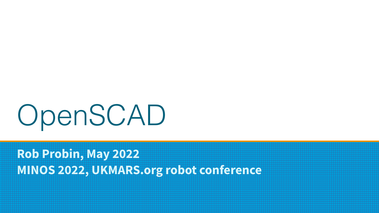# OpenSCAD

**Rob Probin, May 2022 MINOS 2022, UKMARS.org robot conference**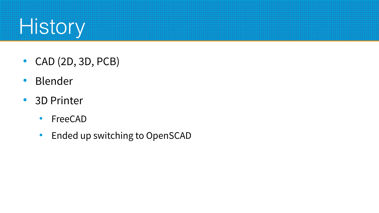

- $\bullet$  CAD (2D, 3D, PCB)
- Blender
- 3D Printer
	- FreeCAD
	- Ended up switching to OpenSCAD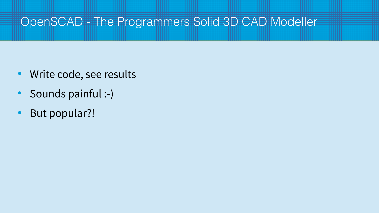#### OpenSCAD - The Programmers Solid 3D CAD Modeller

- Write code, see results
- Sounds painful :-)
- But popular?!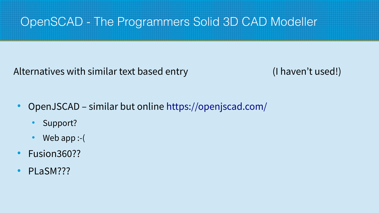#### OpenSCAD - The Programmers Solid 3D CAD Modeller

Alternatives with similar text based entry (I haven't used!)

- OpenJSCAD similar but online <https://openjscad.com/>
	- Support?
	- Web app  $:$   $\vdots$
- Fusion360??
- PLaSM???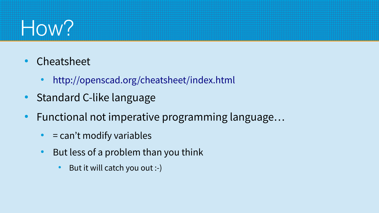

- Cheatsheet
	- <http://openscad.org/cheatsheet/index.html>
- **Standard C-like language**
- Functional not imperative programming language...
	- $\bullet$  = can't modify variables
	- But less of a problem than you think
		- $\bullet$  But it will catch you out :-)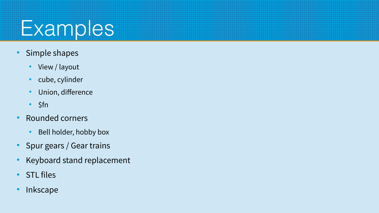

- Simple shapes
	- View / layout
	- cube, cylinder
	- Union, difference
	- \$fn
- Rounded corners
	- Bell holder, hobby box
- Spur gears / Gear trains
- Keyboard stand replacement
- STL files
- Inkscape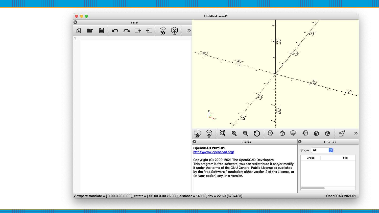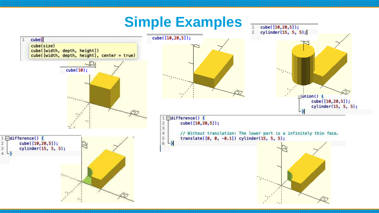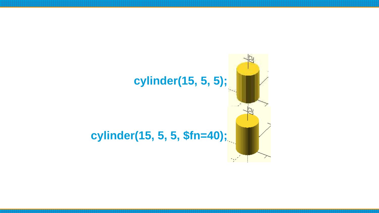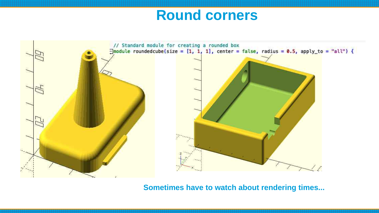# **Round corners**



**Sometimes have to watch about rendering times...**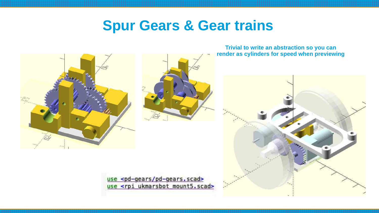### **Spur Gears & Gear trains**





**Trivial to write an abstraction so you can render as cylinders for speed when previewing**



use <pd-gears/pd-gears.scad> use <rpi ukmarsbot mount5.scad>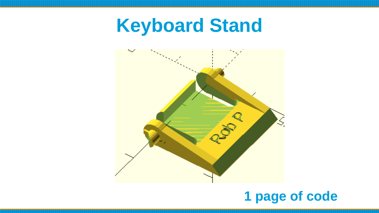**Keyboard Stand**



# **1 page of code**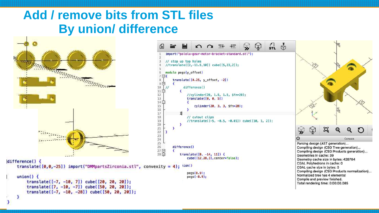#### **Add / remove bits from STL files By union/ difference**



translate([-7, -10, 7]) cube([20, 20, 20]); translate( $[7, -10, -7]$ ) cube( $[50, 20, 20]$ ); translate( $[-7, -10, -28]$ ) cube( $[50, 20, 20]$ );